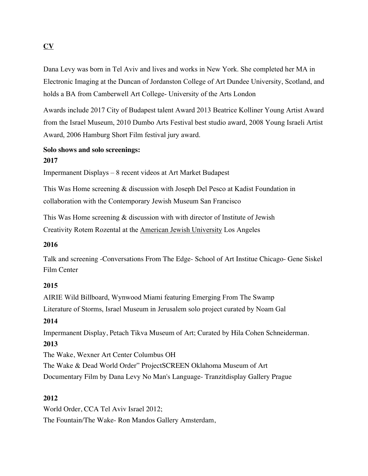## **CV**

Dana Levy was born in Tel Aviv and lives and works in New York. She completed her MA in Electronic Imaging at the Duncan of Jordanston College of Art Dundee University, Scotland, and holds a BA from Camberwell Art College- University of the Arts London

Awards include 2017 City of Budapest talent Award 2013 Beatrice Kolliner Young Artist Award from the Israel Museum, 2010 Dumbo Arts Festival best studio award, 2008 Young Israeli Artist Award, 2006 Hamburg Short Film festival jury award.

### **Solo shows and solo screenings: 2017**

Impermanent Displays – 8 recent videos at Art Market Budapest

This Was Home screening & discussion with Joseph Del Pesco at Kadist Foundation in collaboration with the Contemporary Jewish Museum San Francisco

This Was Home screening & discussion with with director of Institute of Jewish Creativity Rotem Rozental at the American Jewish University Los Angeles

#### **2016**

Talk and screening -Conversations From The Edge- School of Art Institue Chicago- Gene Siskel Film Center

### **2015**

AIRIE Wild Billboard, Wynwood Miami featuring Emerging From The Swamp Literature of Storms, Israel Museum in Jerusalem solo project curated by Noam Gal

### **2014**

Impermanent Display, Petach Tikva Museum of Art; Curated by Hila Cohen Schneiderman. **2013** 

The Wake, Wexner Art Center Columbus OH The Wake & Dead World Order" ProjectSCREEN Oklahoma Museum of Art Documentary Film by Dana Levy No Man's Language- Tranzitdisplay Gallery Prague

### **2012**

World Order, CCA Tel Aviv Israel 2012; The Fountain/The Wake- Ron Mandos Gallery Amsterdam,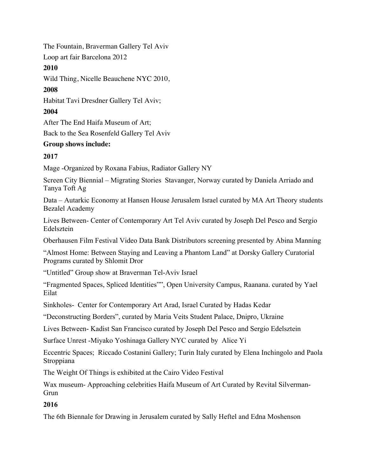The Fountain, Braverman Gallery Tel Aviv

Loop art fair Barcelona 2012

## **2010**

Wild Thing, Nicelle Beauchene NYC 2010,

## **2008**

Habitat Tavi Dresdner Gallery Tel Aviv;

## **2004**

After The End Haifa Museum of Art;

Back to the Sea Rosenfeld Gallery Tel Aviv

## **Group shows include:**

# **2017**

Mage -Organized by Roxana Fabius, Radiator Gallery NY

Screen City Biennial – Migrating Stories Stavanger, Norway curated by Daniela Arriado and Tanya Toft Ag

Data – Autarkic Economy at Hansen House Jerusalem Israel curated by MA Art Theory students Bezalel Academy

Lives Between- Center of Contemporary Art Tel Aviv curated by Joseph Del Pesco and Sergio Edelsztein

Oberhausen Film Festival Video Data Bank Distributors screening presented by Abina Manning

"Almost Home: Between Staying and Leaving a Phantom Land" at Dorsky Gallery Curatorial Programs curated by Shlomit Dror

"Untitled" Group show at Braverman Tel-Aviv Israel

"Fragmented Spaces, Spliced Identities"", Open University Campus, Raanana. curated by Yael Eilat

Sinkholes- Center for Contemporary Art Arad, Israel Curated by Hadas Kedar

"Deconstructing Borders", curated by Maria Veits Student Palace, Dnipro, Ukraine

Lives Between- Kadist San Francisco curated by Joseph Del Pesco and Sergio Edelsztein

Surface Unrest -Miyako Yoshinaga Gallery NYC curated by Alice Yi

Eccentric Spaces; Riccado Costanini Gallery; Turin Italy curated by Elena Inchingolo and Paola **Stroppiana** 

The Weight Of Things is exhibited at the Cairo Video Festival

Wax museum- Approaching celebrities Haifa Museum of Art Curated by Revital Silverman-Grun

# **2016**

The 6th Biennale for Drawing in Jerusalem curated by Sally Heftel and Edna Moshenson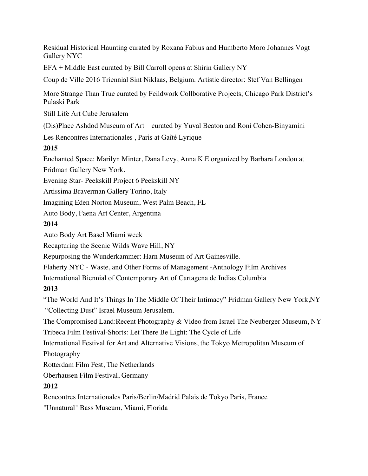Residual Historical Haunting curated by Roxana Fabius and Humberto Moro Johannes Vogt Gallery NYC

EFA + Middle East curated by Bill Carroll opens at Shirin Gallery NY

Coup de Ville 2016 Triennial Sint‐Niklaas, Belgium. Artistic director: Stef Van Bellingen

More Strange Than True curated by Feildwork Collborative Projects; Chicago Park District's Pulaski Park

Still Life Art Cube Jerusalem

(Dis)Place Ashdod Museum of Art – curated by Yuval Beaton and Roni Cohen-Binyamini

Les Rencontres Internationales , Paris at Gaîté Lyrique

## **2015**

Enchanted Space: Marilyn Minter, Dana Levy, Anna K.E organized by Barbara London at

Fridman Gallery New York.

Evening Star- Peekskill Project 6 Peekskill NY

Artissima Braverman Gallery Torino, Italy

Imagining Eden Norton Museum, West Palm Beach, FL

Auto Body, Faena Art Center, Argentina

## **2014**

Auto Body Art Basel Miami week

Recapturing the Scenic Wilds Wave Hill, NY

Repurposing the Wunderkammer: Harn Museum of Art Gainesville.

Flaherty NYC - Waste, and Other Forms of Management -Anthology Film Archives

International Biennial of Contemporary Art of Cartagena de Indias Columbia

## **2013**

"The World And It's Things In The Middle Of Their Intimacy" Fridman Gallery New York,NY "Collecting Dust" Israel Museum Jerusalem.

The Compromised Land:Recent Photography & Video from Israel The Neuberger Museum, NY Tribeca Film Festival-Shorts: Let There Be Light: The Cycle of Life

International Festival for Art and Alternative Visions, the Tokyo Metropolitan Museum of Photography

Rotterdam Film Fest, The Netherlands

Oberhausen Film Festival, Germany

## **2012**

Rencontres Internationales Paris/Berlin/Madrid Palais de Tokyo Paris, France

"Unnatural" Bass Museum, Miami, Florida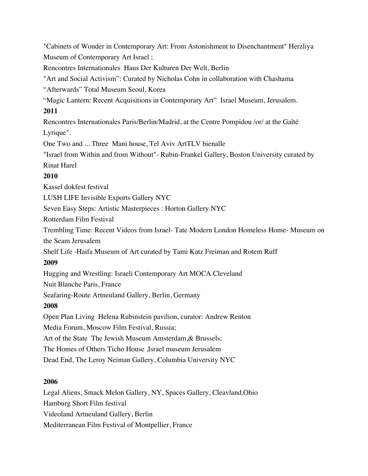"Cabinets of Wonder in Contemporary Art: From Astonishment to Disenchantment" Herzliya Museum of Contemporary Art Israel ;

Rencontres Internationales Haus Der Kulturen Der Welt, Berlin

"Art and Social Activism": Curated by Nicholas Cohn in collaboration with Chashama

"Afterwards" Total Museum Seoul, Korea

"Magic Lantern: Recent Acquisitions in Contemporary Art" Israel Museum, Jerusalem. **2011**

Rencontres Internationales Paris/Berlin/Madrid, at the Centre Pompidou /or/ at the Gaîté Lyrique".

One Two and ... Three Mani house, Tel Aviv ArtTLV bienalle

"Israel from Within and from Without"- Rubin-Frankel Gallery, Boston University curated by Rinat Harel

## **2010**

Kassel dokfest festival

LUSH LIFE Invisible Exports Gallery NYC

Seven Easy Steps: Artistic Masterpieces : Horton Gallery NYC

Rotterdam Film Festival

Trembling Time: Recent Videos from Israel- Tate Modern London Homeless Home- Museum on the Seam Jerusalem

Shelf Life -Haifa Museum of Art curated by Tami Katz Freiman and Rotem Ruff **2009**

Hugging and Wrestling: Israeli Contemporary Art MOCA Cleveland

Nuit Blanche Paris, France

Seafaring-Route Artneuland Gallery, Berlin, Germany

# **2008**

Open Plan Living Helena Rubinstein pavilion, curator: Andrew Renton

Media Forum, Moscow Film Festival, Russia;

Art of the State The Jewish Museum Amsterdam,& Brussels;

The Homes of Others Ticho House ,Israel museum Jerusalem

Dead End, The Leroy Neiman Gallery, Columbia University NYC

# **2006**

Legal Aliens, Smack Melon Gallery, NY, Spaces Gallery, Cleavland,Ohio Hamburg Short Film festival Videoland Artneuland Gallery, Berlin Mediterranean Film Festival of Montpellier, France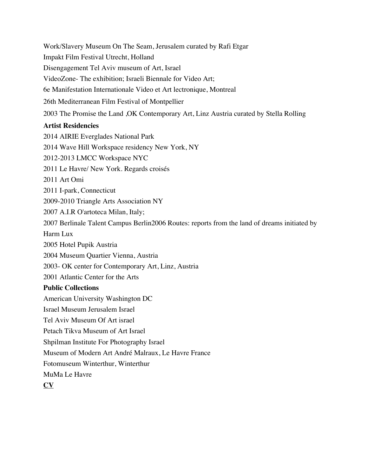Work/Slavery Museum On The Seam, Jerusalem curated by Rafi Etgar

Impakt Film Festival Utrecht, Holland

Disengagement Tel Aviv museum of Art, Israel

VideoZone- The exhibition; Israeli Biennale for Video Art;

6e Manifestation Internationale Video et Art lectronique, Montreal

26th Mediterranean Film Festival of Montpellier

2003 The Promise the Land ,OK Contemporary Art, Linz Austria curated by Stella Rolling

## **Artist Residencies**

2014 AIRIE Everglades National Park 2014 Wave Hill Workspace residency New York, NY 2012-2013 LMCC Workspace NYC 2011 Le Havre/ New York. Regards croisés 2011 Art Omi 2011 I-park, Connecticut 2009-2010 Triangle Arts Association NY 2007 A.I.R O'artoteca Milan, Italy; 2007 Berlinale Talent Campus Berlin2006 Routes: reports from the land of dreams initiated by Harm Lux 2005 Hotel Pupik Austria 2004 Museum Quartier Vienna, Austria 2003- OK center for Contemporary Art, Linz, Austria 2001 Atlantic Center for the Arts **Public Collections** American University Washington DC Israel Museum Jerusalem Israel Tel Aviv Museum Of Art israel Petach Tikva Museum of Art Israel Shpilman Institute For Photography Israel Museum of Modern Art André Malraux, Le Havre France Fotomuseum Winterthur, Winterthur MuMa Le Havre **CV**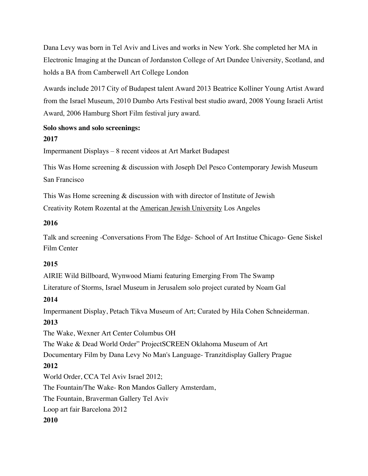Dana Levy was born in Tel Aviv and Lives and works in New York. She completed her MA in Electronic Imaging at the Duncan of Jordanston College of Art Dundee University, Scotland, and holds a BA from Camberwell Art College London

Awards include 2017 City of Budapest talent Award 2013 Beatrice Kolliner Young Artist Award from the Israel Museum, 2010 Dumbo Arts Festival best studio award, 2008 Young Israeli Artist Award, 2006 Hamburg Short Film festival jury award.

# **Solo shows and solo screenings:**

## **2017**

Impermanent Displays – 8 recent videos at Art Market Budapest

This Was Home screening & discussion with Joseph Del Pesco Contemporary Jewish Museum San Francisco

This Was Home screening & discussion with with director of Institute of Jewish

Creativity Rotem Rozental at the American Jewish University Los Angeles

## **2016**

Talk and screening -Conversations From The Edge- School of Art Institue Chicago- Gene Siskel Film Center

## **2015**

AIRIE Wild Billboard, Wynwood Miami featuring Emerging From The Swamp

Literature of Storms, Israel Museum in Jerusalem solo project curated by Noam Gal

# **2014**

Impermanent Display, Petach Tikva Museum of Art; Curated by Hila Cohen Schneiderman. **2013** 

The Wake, Wexner Art Center Columbus OH

The Wake & Dead World Order" ProjectSCREEN Oklahoma Museum of Art

Documentary Film by Dana Levy No Man's Language- Tranzitdisplay Gallery Prague

# **2012**

World Order, CCA Tel Aviv Israel 2012;

The Fountain/The Wake- Ron Mandos Gallery Amsterdam,

The Fountain, Braverman Gallery Tel Aviv

Loop art fair Barcelona 2012

**2010**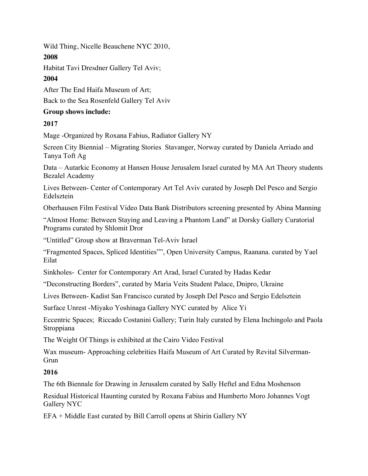Wild Thing, Nicelle Beauchene NYC 2010,

**2008**

Habitat Tavi Dresdner Gallery Tel Aviv;

# **2004**

After The End Haifa Museum of Art;

Back to the Sea Rosenfeld Gallery Tel Aviv

## **Group shows include:**

# **2017**

Mage -Organized by Roxana Fabius, Radiator Gallery NY

Screen City Biennial – Migrating Stories Stavanger, Norway curated by Daniela Arriado and Tanya Toft Ag

Data – Autarkic Economy at Hansen House Jerusalem Israel curated by MA Art Theory students Bezalel Academy

Lives Between- Center of Contemporary Art Tel Aviv curated by Joseph Del Pesco and Sergio Edelsztein

Oberhausen Film Festival Video Data Bank Distributors screening presented by Abina Manning

"Almost Home: Between Staying and Leaving a Phantom Land" at Dorsky Gallery Curatorial Programs curated by Shlomit Dror

"Untitled" Group show at Braverman Tel-Aviv Israel

"Fragmented Spaces, Spliced Identities"", Open University Campus, Raanana. curated by Yael Eilat

Sinkholes- Center for Contemporary Art Arad, Israel Curated by Hadas Kedar

"Deconstructing Borders", curated by Maria Veits Student Palace, Dnipro, Ukraine

Lives Between- Kadist San Francisco curated by Joseph Del Pesco and Sergio Edelsztein

Surface Unrest -Miyako Yoshinaga Gallery NYC curated by Alice Yi

Eccentric Spaces; Riccado Costanini Gallery; Turin Italy curated by Elena Inchingolo and Paola **Stroppiana** 

The Weight Of Things is exhibited at the Cairo Video Festival

Wax museum- Approaching celebrities Haifa Museum of Art Curated by Revital Silverman-Grun

# **2016**

The 6th Biennale for Drawing in Jerusalem curated by Sally Heftel and Edna Moshenson

Residual Historical Haunting curated by Roxana Fabius and Humberto Moro Johannes Vogt Gallery NYC

EFA + Middle East curated by Bill Carroll opens at Shirin Gallery NY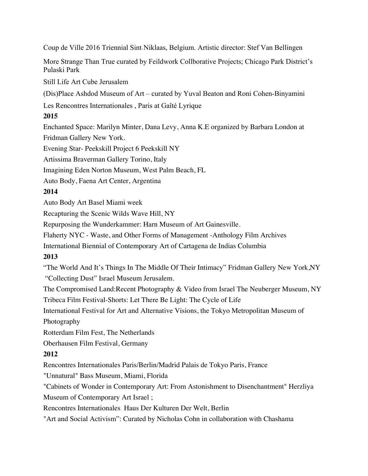Coup de Ville 2016 Triennial Sint‐Niklaas, Belgium. Artistic director: Stef Van Bellingen

More Strange Than True curated by Feildwork Collborative Projects; Chicago Park District's Pulaski Park

Still Life Art Cube Jerusalem

(Dis)Place Ashdod Museum of Art – curated by Yuval Beaton and Roni Cohen-Binyamini

Les Rencontres Internationales , Paris at Gaîté Lyrique

## **2015**

Enchanted Space: Marilyn Minter, Dana Levy, Anna K.E organized by Barbara London at Fridman Gallery New York.

Evening Star- Peekskill Project 6 Peekskill NY

Artissima Braverman Gallery Torino, Italy

Imagining Eden Norton Museum, West Palm Beach, FL

Auto Body, Faena Art Center, Argentina

## **2014**

Auto Body Art Basel Miami week

Recapturing the Scenic Wilds Wave Hill, NY

Repurposing the Wunderkammer: Harn Museum of Art Gainesville.

Flaherty NYC - Waste, and Other Forms of Management -Anthology Film Archives

International Biennial of Contemporary Art of Cartagena de Indias Columbia

## **2013**

"The World And It's Things In The Middle Of Their Intimacy" Fridman Gallery New York,NY "Collecting Dust" Israel Museum Jerusalem.

The Compromised Land:Recent Photography & Video from Israel The Neuberger Museum, NY Tribeca Film Festival-Shorts: Let There Be Light: The Cycle of Life

International Festival for Art and Alternative Visions, the Tokyo Metropolitan Museum of

Photography

Rotterdam Film Fest, The Netherlands

Oberhausen Film Festival, Germany

## **2012**

Rencontres Internationales Paris/Berlin/Madrid Palais de Tokyo Paris, France

"Unnatural" Bass Museum, Miami, Florida

"Cabinets of Wonder in Contemporary Art: From Astonishment to Disenchantment" Herzliya Museum of Contemporary Art Israel ;

Rencontres Internationales Haus Der Kulturen Der Welt, Berlin

"Art and Social Activism": Curated by Nicholas Cohn in collaboration with Chashama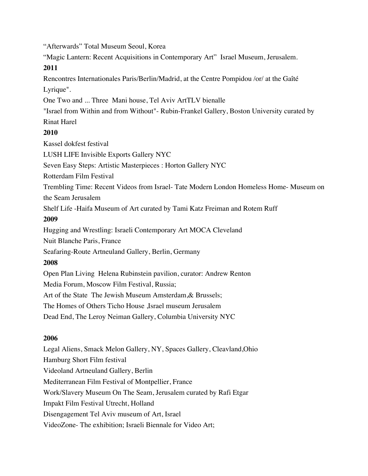"Afterwards" Total Museum Seoul, Korea

"Magic Lantern: Recent Acquisitions in Contemporary Art" Israel Museum, Jerusalem. **2011**

Rencontres Internationales Paris/Berlin/Madrid, at the Centre Pompidou /or/ at the Gaîté Lyrique".

One Two and ... Three Mani house, Tel Aviv ArtTLV bienalle

"Israel from Within and from Without"- Rubin-Frankel Gallery, Boston University curated by

Rinat Harel

## **2010**

Kassel dokfest festival

LUSH LIFE Invisible Exports Gallery NYC

Seven Easy Steps: Artistic Masterpieces : Horton Gallery NYC

Rotterdam Film Festival

Trembling Time: Recent Videos from Israel- Tate Modern London Homeless Home- Museum on the Seam Jerusalem

Shelf Life -Haifa Museum of Art curated by Tami Katz Freiman and Rotem Ruff

### **2009**

Hugging and Wrestling: Israeli Contemporary Art MOCA Cleveland

Nuit Blanche Paris, France

Seafaring-Route Artneuland Gallery, Berlin, Germany

## **2008**

Open Plan Living Helena Rubinstein pavilion, curator: Andrew Renton Media Forum, Moscow Film Festival, Russia;

Art of the State The Jewish Museum Amsterdam,& Brussels;

The Homes of Others Ticho House ,Israel museum Jerusalem

Dead End, The Leroy Neiman Gallery, Columbia University NYC

## **2006**

Legal Aliens, Smack Melon Gallery, NY, Spaces Gallery, Cleavland,Ohio Hamburg Short Film festival Videoland Artneuland Gallery, Berlin Mediterranean Film Festival of Montpellier, France Work/Slavery Museum On The Seam, Jerusalem curated by Rafi Etgar Impakt Film Festival Utrecht, Holland Disengagement Tel Aviv museum of Art, Israel VideoZone- The exhibition; Israeli Biennale for Video Art;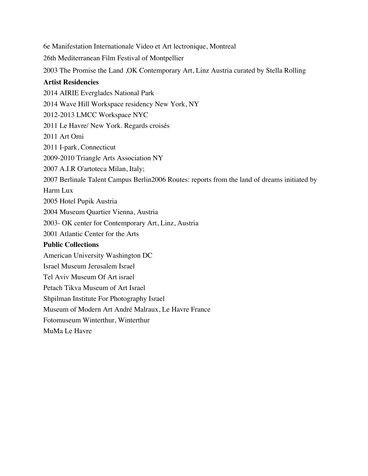6e Manifestation Internationale Video et Art lectronique, Montreal 26th Mediterranean Film Festival of Montpellier 2003 The Promise the Land ,OK Contemporary Art, Linz Austria curated by Stella Rolling **Artist Residencies**  2014 AIRIE Everglades National Park 2014 Wave Hill Workspace residency New York, NY 2012-2013 LMCC Workspace NYC 2011 Le Havre/ New York. Regards croisés 2011 Art Omi 2011 I-park, Connecticut 2009-2010 Triangle Arts Association NY 2007 A.I.R O'artoteca Milan, Italy; 2007 Berlinale Talent Campus Berlin2006 Routes: reports from the land of dreams initiated by Harm Lux 2005 Hotel Pupik Austria 2004 Museum Quartier Vienna, Austria 2003- OK center for Contemporary Art, Linz, Austria 2001 Atlantic Center for the Arts **Public Collections** American University Washington DC Israel Museum Jerusalem Israel Tel Aviv Museum Of Art israel Petach Tikva Museum of Art Israel Shpilman Institute For Photography Israel Museum of Modern Art André Malraux, Le Havre France Fotomuseum Winterthur, Winterthur MuMa Le Havre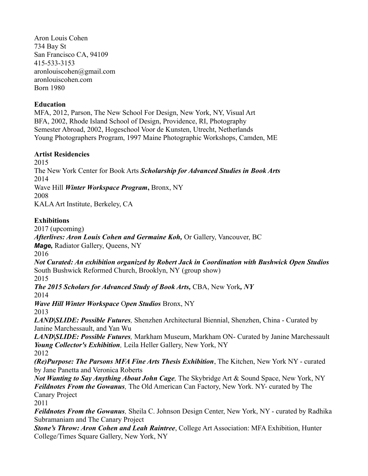Aron Louis Cohen 734 Bay St San Francisco CA, 94109 415-533-3153 aronlouiscohen@gmail.com aronlouiscohen.com Born 1980

### **Education**

MFA, 2012, Parson, The New School For Design, New York, NY, Visual Art BFA, 2002, Rhode Island School of Design, Providence, RI, Photography Semester Abroad, 2002, Hogeschool Voor de Kunsten, Utrecht, Netherlands Young Photographers Program, 1997 Maine Photographic Workshops, Camden, ME

#### **Artist Residencies**

2015

The New York Center for Book Arts *Scholarship for Advanced Studies in Book Arts* 2014

Wave Hill *Winter Workspace Program***,** Bronx, NY

2008

KALA Art Institute, Berkeley, CA

## **Exhibitions**

2017 (upcoming)

*Afterlives: Aron Louis Cohen and Germaine Koh,* Or Gallery, Vancouver, BC

*Mage,* Radiator Gallery, Queens, NY

2016

*Not Curated: An exhibition organized by Robert Jack in Coordination with Bushwick Open Studios* South Bushwick Reformed Church, Brooklyn, NY (group show) 2015

*The 2015 Scholars for Advanced Study of Book Arts,* CBA, New York*, NY*  2014

*Wave Hill Winter Workspace* O*pen Studios* Bronx, NY 2013

*LAND|SLIDE: Possible Futures,* Shenzhen Architectural Biennial, Shenzhen, China - Curated by Janine Marchessault, and Yan Wu

*LAND|SLIDE: Possible Futures,* Markham Museum, Markham ON- Curated by Janine Marchessault *Young Collector's Exhibition,* Leila Heller Gallery, New York, NY 2012

*(Re)Purpose: The Parsons MFA Fine Arts Thesis Exhibition*, The Kitchen, New York NY - curated by Jane Panetta and Veronica Roberts

*Not Wanting to Say Anything About John Cage,* The Skybridge Art & Sound Space, New York, NY *Feildnotes From the Gowanus,* The Old American Can Factory, New York. NY- curated by The Canary Project

2011

*Feildnotes From the Gowanus,* Sheila C. Johnson Design Center, New York, NY - curated by Radhika Subramaniam and The Canary Project

*Stone's Throw: Aron Cohen and Leah Raintree*, College Art Association: MFA Exhibition, Hunter College/Times Square Gallery, New York, NY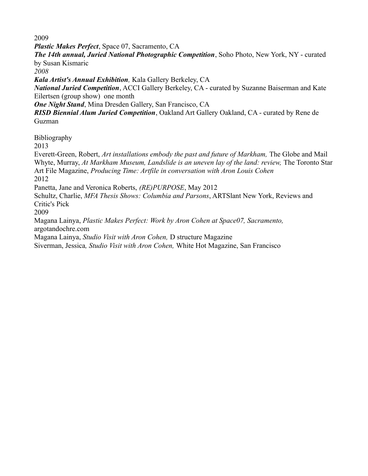2009

*Plastic Makes Perfect*, Space 07, Sacramento, CA

*The 14th annual, Juried National Photographic Competition*, Soho Photo, New York, NY - curated by Susan Kismaric

*2008*

*Kala Artist's Annual Exhibition,* Kala Gallery Berkeley, CA

*National Juried Competition*, ACCI Gallery Berkeley, CA - curated by Suzanne Baiserman and Kate Eilertsen (group show) one month

*One Night Stand*, Mina Dresden Gallery, San Francisco, CA

*RISD Biennial Alum Juried Competition*, Oakland Art Gallery Oakland, CA - curated by Rene de Guzman

Bibliography

2013

Everett-Green, Robert, *Art installations embody the past and future of Markham*, The Globe and Mail Whyte, Murray, *At Markham Museum, Landslide is an uneven lay of the land: review, The Toronto Star* Art File Magazine, *Producing Time: Artfile in conversation with Aron Louis Cohen* 2012

Panetta, Jane and Veronica Roberts, *(RE)PURPOSE*, May 2012

Schultz, Charlie, *MFA Thesis Shows: Columbia and Parsons*, ARTSlant New York, Reviews and Critic's Pick

2009

Magana Lainya, *Plastic Makes Perfect: Work by Aron Cohen at Space07, Sacramento,* argotandochre.com

Magana Lainya, *Studio Visit with Aron Cohen,* D structure Magazine

Siverman, Jessica*, Studio Visit with Aron Cohen,* White Hot Magazine, San Francisco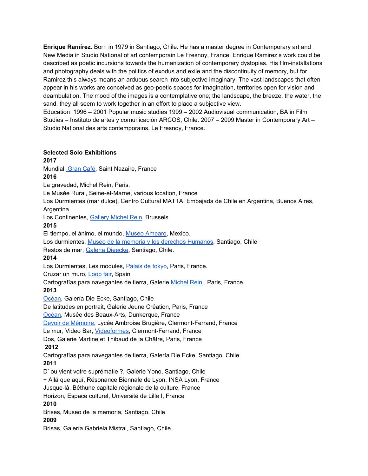**Enrique Ramírez.** Born in 1979 in Santiago, Chile. He has a master degree in Contemporary art and New Media in Studio National of art contemporain Le Fresnoy, France. Enrique Ramirez's work could be described as poetic incursions towards the humanization of contemporary dystopias. His film-installations and photography deals with the politics of exodus and exile and the discontinuity of memory, but for Ramirez this always means an arduous search into subjective imaginary. The vast landscapes that often appear in his works are conceived as geo-poetic spaces for imagination, territories open for vision and deambulation. The mood of the images is a contemplative one; the landscape, the breeze, the water, the sand, they all seem to work together in an effort to place a subjective view.

Education 1996 – 2001 Popular music studies 1999 – 2002 Audiovisual communication, BA in Film Studies – Instituto de artes y comunicación ARCOS, Chile. 2007 – 2009 Master in Contemporary Art – Studio National des arts contemporains, Le Fresnoy, France.

#### **Selected Solo Exhibitions**

**2017**  Mundial, [Gran](http://www.grandcafe-saintnazaire.fr/fr/projets/658-ramirez.html) Café, Saint Nazaire, France **2016**  La gravedad, Michel Rein, Paris. Le Musée Rural, Seine-et-Marne, various location, France Los Durmientes (mar dulce), Centro Cultural MATTA, Embajada de Chile en Argentina, Buenos Aires, **Argentina** Los Continentes, [Gallery](http://michelrein.com/en/artistes/expositions/12762/Enrique%20Ram%C3%ADrez) Michel Rein, Brussels **2015**  El tiempo[,](http://www.museoamparo.com/) el ánimo, el mundo, Museo [Amparo](http://www.museoamparo.com/), Mexico. Los durmientes, [M](http://www.museodelamemoria.cl/)useo de la memoria y los derechos [Humanos,](http://www.museodelamemoria.cl/) Santiago, Chile Restos de mar, Galeria [Dieecke,](http://www.dieecke.cl/restos-de-mar/) Santiago, Chile. **2014**  Los Durmientes, Les modules, [Palais](http://www.palaisdetokyo.com/fr/exposition/enrique-ramirez) de tokyo, Paris, France. Cruzar un muro[,](http://www.loop-barcelona.com/2014/fair/cruzar-un-muro/) [Loop](http://www.loop-barcelona.com/2014/fair/cruzar-un-muro/) fair, Spain Cartografías para navegantes de tierra, Galerie [Michel](http://michelrein.com/) Rein , Paris, France **2013**  [Océan](http://www.dieecke.cl/oceano/), Galería Die Ecke, Santiago, Chile De latitudes en portrait, Galerie Jeune Création, Paris, France [Océan](http://www.projetocean.com/), Musée des Beaux-Arts, Dunkerque, France Devoir de [Mémoire,](http://http//enriqueramirez.net/devoir-memoire) Lycée Ambroise Brugière, Clermont-Ferrand, France Le mur, Video Bar[,](http://www.videoformes-fest.com/) [Videoformes](http://www.videoformes-fest.com/), Clermont-Ferrand, France Dos, Galerie Martine et Thibaud de la Châtre, Paris, France **2012**  Cartografías para navegantes de tierra, Galería Die Ecke, Santiago, Chile **2011**  D' ou vient votre suprématie ?, Galerie Yono, Santiago, Chile +Allá que aquí, Résonance Biennale de Lyon, INSA Lyon, France Jusque-là, Béthune capitale régionale de la culture, France Horizon, Espace culturel, Université de Lille I, France **2010** Brises, Museo de la memoria, Santiago, Chile **2009** Brisas, Galería Gabriela Mistral, Santiago, Chile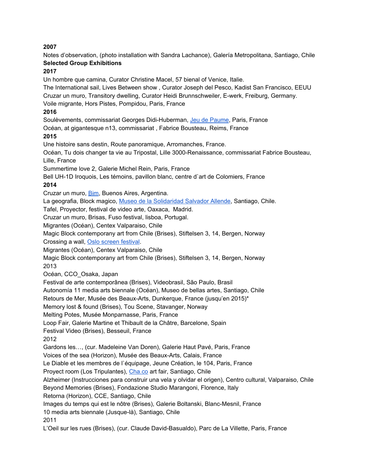#### **2007**

Notes d'observation, (photo installation with Sandra Lachance), Galería Metropolitana, Santiago, Chile **Selected Group Exhibitions**

#### **2017**

Un hombre que camina, Curator Christine Macel, 57 bienal of Venice, Italie.

The International sail, Lives Between show , Curator Joseph del Pesco, Kadist San Francisco, EEUU Cruzar un muro, Transitory dwelling, Curator Heidi Brunnschweiler, E-werk, Freiburg, Germany.

Voile migrante, Hors Pistes, Pompidou, Paris, France

#### **2016**

Soulèvements, commissariat Georges Didi-Huberman, Jeu de [Paume,](http://www.jeudepaume.org/) Paris, France

Océan, at gigantesque n13, commissariat , Fabrice Bousteau, Reims, France

#### **2015**

Une histoire sans destin, Route panoramique, Arromanches, France.

Océan, Tu dois changer ta vie au Tripostal, Lille 3000-Renaissance, commissariat Fabrice Bousteau, Lille, France

Summertime love 2, Galerie Michel Rein, Paris, France

Bell UH-1D Iroquois, Les témoins, pavillon blanc, centre d`art de Colomiers, France

#### **2014**

Cruzar un muro[,](http://bim.com.ar/exposicion-2014/?exposicion=2502&lang=en) [Bim](http://bim.com.ar/exposicion-2014/?exposicion=2502&lang=en), Buenos Aires, Argentina.

La geografia, Block magico[,](http://www.mssa.cl/) Museo de la [Solidaridad](http://www.mssa.cl/) Salvador Allende, Santiago, Chile.

Tafel, Proyector, festival de video arte, Oaxaca, Madrid.

Cruzar un muro, Brisas, Fuso festival, lisboa, Portugal.

Migrantes (Océan), Centex Valparaiso, Chile

Magic Block contemporany art from Chile (Brises), Stiftelsen 3, 14, Bergen, Norway Crossing a wall, Oslo screen [festival](http://screenfestival.no/post/76619923881/guest-program-wind-from-the-south).

Migrantes (Océan), Centex Valparaiso, Chile

Magic Block contemporany art from Chile (Brises), Stiftelsen 3, 14, Bergen, Norway 2013

Océan, CCO\_Osaka, Japan

Festival de arte contemporânea (Brises), Videobrasil, São Paulo, Brasil

Autonomía 11 media arts biennale (Océan), Museo de bellas artes, Santiago, Chile

Retours de Mer, Musée des Beaux-Arts, Dunkerque, France (jusqu'en 2015)\*

Memory lost & found (Brises), Tou Scene, Stavanger, Norway

Melting Potes, Musée Monparnasse, Paris, France

Loop Fair, Galerie Martine et Thibault de la Châtre, Barcelone, Spain

Festival Video (Brises), Besseuil, France

2012

Gardons les…, (cur. Madeleine Van Doren), Galerie Haut Pavé, Paris, France

Voices of the sea (Horizon), Musée des Beaux-Arts, Calais, France

Le Diable et les membres de l`équipage, Jeune Création, le 104, Paris, France

Proyect room (Los Tripulantes), [Cha.co](http://cha.co/) art fair, Santiago, Chile

Alzheimer (Instrucciones para construir una vela y olvidar el origen), Centro cultural, Valparaiso, Chile

Beyond Memories (Brises), Fondazione Studio Marangoni, Florence, Italy

Retorna (Horizon), CCE, Santiago, Chile

Images du temps qui est le nôtre (Brises), Galerie Boltanski, Blanc-Mesnil, France

10 media arts biennale (Jusque-là), Santiago, Chile

2011

L'Oeil sur les rues (Brises), (cur. Claude David-Basualdo), Parc de La Villette, Paris, France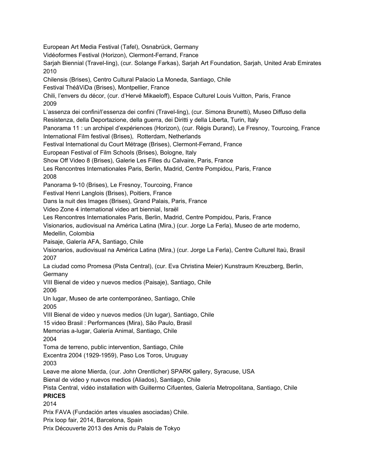European Art Media Festival (Tafel), Osnabrück, Germany Vidéoformes Festival (Horizon), Clermont-Ferrand, France Sarjah Biennial (Travel-ling), (cur. Solange Farkas), Sarjah Art Foundation, Sarjah, United Arab Emirates 2010 Chilensis (Brises), Centro Cultural Palacio La Moneda, Santiago, Chile Festival ThéâViDa (Brises), Montpellier, France Chili, l'envers du décor, (cur. d'Hervé Mikaeloff), Espace Culturel Louis Vuitton, Paris, France 2009 L'assenza dei confini/l'essenza dei confini (Travel-ling), (cur. Simona Brunetti), Museo Diffuso della Resistenza, della Deportazione, della guerra, dei Diritti y della Liberta, Turin, Italy Panorama 11 : un archipel d'expériences (Horizon), (cur. Régis Durand), Le Fresnoy, Tourcoing, France International Film festival (Brises), Rotterdam, Netherlands Festival International du Court Métrage (Brises), Clermont-Ferrand, France European Festival of Film Schools (Brises), Bologne, Italy Show Off Video 8 (Brises), Galerie Les Filles du Calvaire, Paris, France Les Rencontres Internationales Paris, Berlin, Madrid, Centre Pompidou, Paris, France 2008 Panorama 9-10 (Brises), Le Fresnoy, Tourcoing, France Festival Henri Langlois (Brises), Poitiers, France Dans la nuit des Images (Brises), Grand Palais, Paris, France Video Zone 4 international video art biennial, Israël Les Rencontres Internationales Paris, Berlin, Madrid, Centre Pompidou, Paris, France Visionarios, audiovisual na América Latina (Mira,) (cur. Jorge La Ferla), Museo de arte moderno, Medellin, Colombia Paisaje, Galería AFA, Santiago, Chile Visionarios, audiovisual na América Latina (Mira,) (cur. Jorge La Ferla), Centre Culturel Itaù, Brasil 2007 La ciudad como Promesa (Pista Central), (cur. Eva Christina Meier) Kunstraum Kreuzberg, Berlin, Germany VIII Bienal de video y nuevos medios (Paisaje), Santiago, Chile 2006 Un lugar, Museo de arte contemporáneo, Santiago, Chile 2005 VIII Bienal de video y nuevos medios (Un lugar), Santiago, Chile 15 video Brasil : Performances (Mira), São Paulo, Brasil Memorias a-lugar, Galería Animal, Santiago, Chile 2004 Toma de terreno, public intervention, Santiago, Chile Excentra 2004 (1929-1959), Paso Los Toros, Uruguay 2003 Leave me alone Mierda, (cur. John Orentlicher) SPARK gallery, Syracuse, USA Bienal de video y nuevos medios (Aliados), Santiago, Chile Pista Central, vidéo installation with Guillermo Cifuentes, Galería Metropolitana, Santiago, Chile **PRICES** 2014 Prix FAVA (Fundación artes visuales asociadas) Chile. Prix loop fair, 2014, Barcelona, Spain

Prix Découverte 2013 des Amis du Palais de Tokyo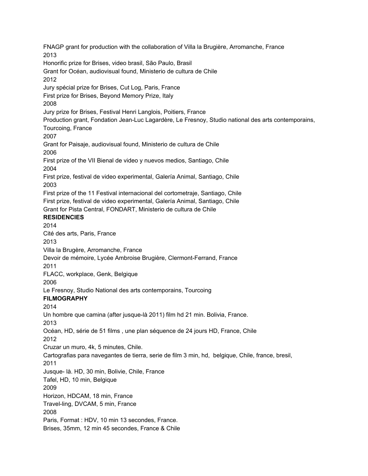FNAGP grant for production with the collaboration of Villa la Brugière, Arromanche, France 2013 Honorific prize for Brises, video brasil, São Paulo, Brasil Grant for Océan, audiovisual found, Ministerio de cultura de Chile 2012 Jury spécial prize for Brises, Cut Log, Paris, France First prize for Brises, Beyond Memory Prize, Italy 2008 Jury prize for Brises, Festival Henri Langlois, Poitiers, France Production grant, Fondation Jean-Luc Lagardère, Le Fresnoy, Studio national des arts contemporains, Tourcoing, France 2007 Grant for Paisaje, audiovisual found, Ministerio de cultura de Chile 2006 First prize of the VII Bienal de video y nuevos medios, Santiago, Chile 2004 First prize, festival de video experimental, Galería Animal, Santiago, Chile 2003 First prize of the 11 Festival internacional del cortometraje, Santiago, Chile First prize, festival de video experimental, Galería Animal, Santiago, Chile Grant for Pista Central, FONDART, Ministerio de cultura de Chile **RESIDENCIES** 2014 Cité des arts, Paris, France 2013 Villa la Brugère, Arromanche, France Devoir de mémoire, Lycée Ambroise Brugière, Clermont-Ferrand, France 2011 FLACC, workplace, Genk, Belgique 2006 Le Fresnoy, Studio National des arts contemporains, Tourcoing **FILMOGRAPHY** 2014 Un hombre que camina (after jusque-là 2011) film hd 21 min. Bolivia, France. 2013 Océan, HD, série de 51 films , une plan séquence de 24 jours HD, France, Chile 2012 Cruzar un muro, 4k, 5 minutes, Chile. Cartografias para navegantes de tierra, serie de film 3 min, hd, belgique, Chile, france, bresil, 2011 Jusque- là. HD, 30 min, Bolivie, Chile, France Tafel, HD, 10 min, Belgique 2009 Horizon, HDCAM, 18 min, France Travel-ling, DVCAM, 5 min, France 2008 Paris, Format : HDV, 10 min 13 secondes, France. Brises, 35mm, 12 min 45 secondes, France & Chile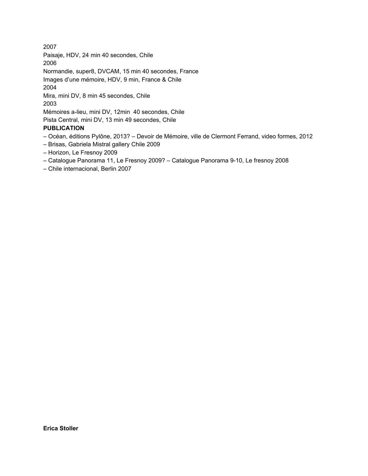2007 Paisaje, HDV, 24 min 40 secondes, Chile 2006 Normandie, super8, DVCAM, 15 min 40 secondes, France Images d'une mémoire, HDV, 9 min, France & Chile 2004 Mira, mini DV, 8 min 45 secondes, Chile 2003 Mémoires a-lieu, mini DV, 12min 40 secondes, Chile Pista Central, mini DV, 13 min 49 secondes, Chile **PUBLICATION**

- Océan, éditions Pylône, 2013? Devoir de Mémoire, ville de Clermont Ferrand, video formes, 2012
- Brisas, Gabriela Mistral gallery Chile 2009
- Horizon, Le Fresnoy 2009
- Catalogue Panorama 11, Le Fresnoy 2009? Catalogue Panorama 9-10, Le fresnoy 2008
- Chile internacional, Berlin 2007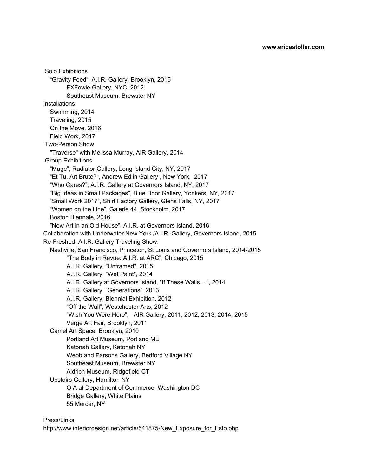Solo Exhibitions "Gravity Feed", A.I.R. Gallery, Brooklyn, 2015 FXFowle Gallery, NYC, 2012 Southeast Museum, Brewster NY **Installations** Swimming, 2014 Traveling, 2015 On the Move, 2016 Field Work, 2017 Two-Person Show "Traverse" with Melissa Murray, AIR Gallery, 2014 Group Exhibitions "Mage", Radiator Gallery, Long Island City, NY, 2017 "Et Tu, Art Brute?", Andrew Edlin Gallery , New York, 2017 "Who Cares?", A.I.R. Gallery at Governors Island, NY, 2017 "Big Ideas in Small Packages", Blue Door Gallery, Yonkers, NY, 2017 "Small Work 2017", Shirt Factory Gallery, Glens Falls, NY, 2017 "Women on the Line", Galerie 44, Stockholm, 2017 Boston Biennale, 2016 "New Art in an Old House", A.I.R. at Governors Island, 2016 Collaboration with Underwater New York /A.I.R. Gallery, Governors Island, 2015 Re-Freshed: A.I.R. Gallery Traveling Show: Nashville, San Francisco, Princeton, St Louis and Governors Island, 2014-2015 "The Body in Revue: A.I.R. at ARC", Chicago, 2015 A.I.R. Gallery, "Unframed", 2015 A.I.R. Gallery, "Wet Paint", 2014 A.I.R. Gallery at Governors Island, "If These Walls....", 2014 A.I.R. Gallery, "Generations", 2013 A.I.R. Gallery, Biennial Exhibition, 2012 "Off the Wall", Westchester Arts, 2012 "Wish You Were Here", AIR Gallery, 2011, 2012, 2013, 2014, 2015 Verge Art Fair, Brooklyn, 2011 Camel Art Space, Brooklyn, 2010 Portland Art Museum, Portland ME Katonah Gallery, Katonah NY Webb and Parsons Gallery, Bedford Village NY Southeast Museum, Brewster NY Aldrich Museum, Ridgefield CT Upstairs Gallery, Hamilton NY OIA at Department of Commerce, Washington DC Bridge Gallery, White Plains 55 Mercer, NY

#### Press/Links

http://www.interiordesign.net/article/541875-New\_Exposure\_for\_Esto.php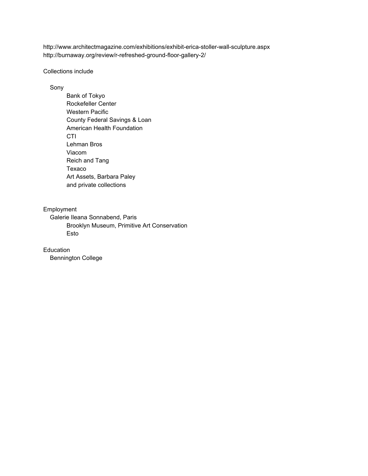http://www.architectmagazine.com/exhibitions/exhibit-erica-stoller-wall-sculpture.aspx http://burnaway.org/review/r-refreshed-ground-floor-gallery-2/

#### Collections include

#### Sony

Bank of Tokyo Rockefeller Center Western Pacific County Federal Savings & Loan American Health Foundation **CTI** Lehman Bros Viacom Reich and Tang Texaco Art Assets, Barbara Paley and private collections

#### Employment

Galerie Ileana Sonnabend, Paris Brooklyn Museum, Primitive Art Conservation Esto

Education Bennington College